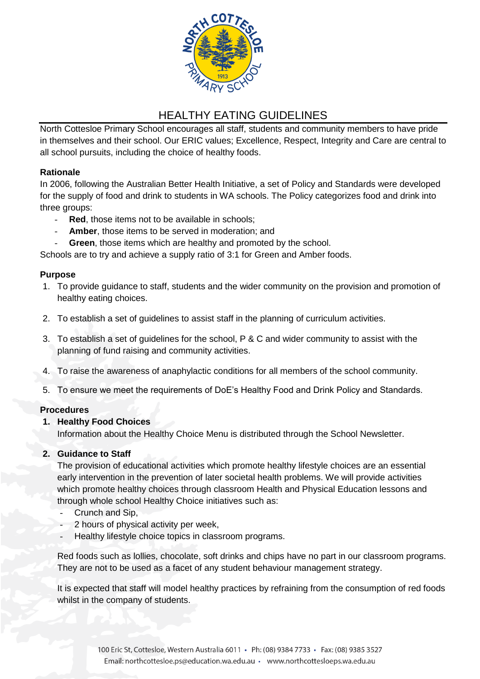

# HEALTHY EATING GUIDELINES

North Cottesloe Primary School encourages all staff, students and community members to have pride in themselves and their school. Our ERIC values; Excellence, Respect, Integrity and Care are central to all school pursuits, including the choice of healthy foods.

# **Rationale**

In 2006, following the Australian Better Health Initiative, a set of Policy and Standards were developed for the supply of food and drink to students in WA schools. The Policy categorizes food and drink into three groups:

- **Red**, those items not to be available in schools;
- Amber, those items to be served in moderation; and
- Green, those items which are healthy and promoted by the school.

Schools are to try and achieve a supply ratio of 3:1 for Green and Amber foods.

# **Purpose**

- 1. To provide guidance to staff, students and the wider community on the provision and promotion of healthy eating choices.
- 2. To establish a set of guidelines to assist staff in the planning of curriculum activities.
- 3. To establish a set of guidelines for the school, P & C and wider community to assist with the planning of fund raising and community activities.
- 4. To raise the awareness of anaphylactic conditions for all members of the school community.
- 5. To ensure we meet the requirements of DoE's Healthy Food and Drink Policy and Standards.

# **Procedures**

# **1. Healthy Food Choices**

Information about the Healthy Choice Menu is distributed through the School Newsletter.

# **2. Guidance to Staff**

The provision of educational activities which promote healthy lifestyle choices are an essential early intervention in the prevention of later societal health problems. We will provide activities which promote healthy choices through classroom Health and Physical Education lessons and through whole school Healthy Choice initiatives such as:

- Crunch and Sip,
- 2 hours of physical activity per week,
- Healthy lifestyle choice topics in classroom programs.

Red foods such as lollies, chocolate, soft drinks and chips have no part in our classroom programs. They are not to be used as a facet of any student behaviour management strategy.

It is expected that staff will model healthy practices by refraining from the consumption of red foods whilst in the company of students.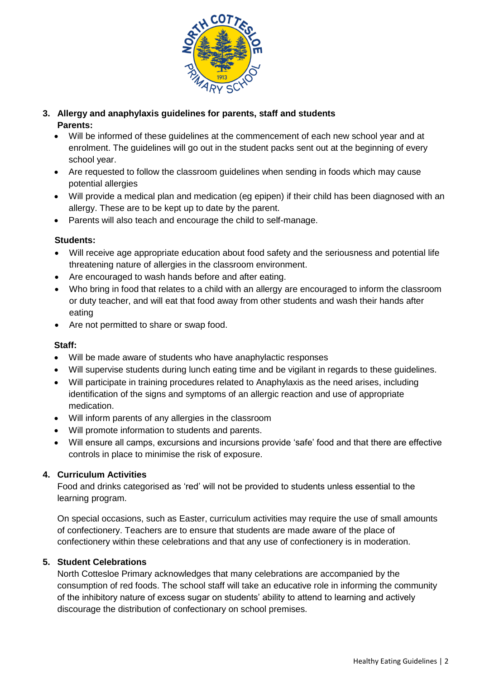

# **3. Allergy and anaphylaxis guidelines for parents, staff and students Parents:**

- Will be informed of these guidelines at the commencement of each new school year and at enrolment. The guidelines will go out in the student packs sent out at the beginning of every school year.
- Are requested to follow the classroom guidelines when sending in foods which may cause potential allergies
- Will provide a medical plan and medication (eg epipen) if their child has been diagnosed with an allergy. These are to be kept up to date by the parent.
- Parents will also teach and encourage the child to self-manage.

## **Students:**

- Will receive age appropriate education about food safety and the seriousness and potential life threatening nature of allergies in the classroom environment.
- Are encouraged to wash hands before and after eating.
- Who bring in food that relates to a child with an allergy are encouraged to inform the classroom or duty teacher, and will eat that food away from other students and wash their hands after eating
- Are not permitted to share or swap food.

## **Staff:**

- Will be made aware of students who have anaphylactic responses
- Will supervise students during lunch eating time and be vigilant in regards to these guidelines.
- Will participate in training procedures related to Anaphylaxis as the need arises, including identification of the signs and symptoms of an allergic reaction and use of appropriate medication.
- Will inform parents of any allergies in the classroom
- Will promote information to students and parents.
- Will ensure all camps, excursions and incursions provide 'safe' food and that there are effective controls in place to minimise the risk of exposure.

# **4. Curriculum Activities**

Food and drinks categorised as 'red' will not be provided to students unless essential to the learning program.

On special occasions, such as Easter, curriculum activities may require the use of small amounts of confectionery. Teachers are to ensure that students are made aware of the place of confectionery within these celebrations and that any use of confectionery is in moderation.

#### **5. Student Celebrations**

North Cottesloe Primary acknowledges that many celebrations are accompanied by the consumption of red foods. The school staff will take an educative role in informing the community of the inhibitory nature of excess sugar on students' ability to attend to learning and actively discourage the distribution of confectionary on school premises.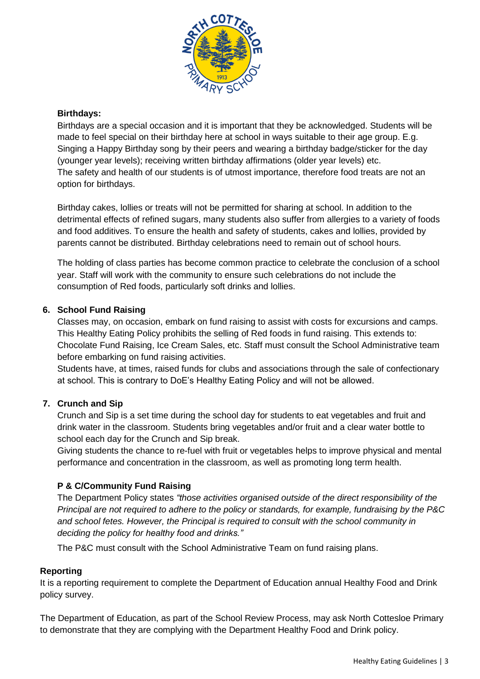

# **Birthdays:**

Birthdays are a special occasion and it is important that they be acknowledged. Students will be made to feel special on their birthday here at school in ways suitable to their age group. E.g. Singing a Happy Birthday song by their peers and wearing a birthday badge/sticker for the day (younger year levels); receiving written birthday affirmations (older year levels) etc. The safety and health of our students is of utmost importance, therefore food treats are not an option for birthdays.

Birthday cakes, lollies or treats will not be permitted for sharing at school. In addition to the detrimental effects of refined sugars, many students also suffer from allergies to a variety of foods and food additives. To ensure the health and safety of students, cakes and lollies, provided by parents cannot be distributed. Birthday celebrations need to remain out of school hours.

The holding of class parties has become common practice to celebrate the conclusion of a school year. Staff will work with the community to ensure such celebrations do not include the consumption of Red foods, particularly soft drinks and lollies.

## **6. School Fund Raising**

Classes may, on occasion, embark on fund raising to assist with costs for excursions and camps. This Healthy Eating Policy prohibits the selling of Red foods in fund raising. This extends to: Chocolate Fund Raising, Ice Cream Sales, etc. Staff must consult the School Administrative team before embarking on fund raising activities.

Students have, at times, raised funds for clubs and associations through the sale of confectionary at school. This is contrary to DoE's Healthy Eating Policy and will not be allowed.

# **7. Crunch and Sip**

Crunch and Sip is a set time during the school day for students to eat vegetables and fruit and drink water in the classroom. Students bring vegetables and/or fruit and a clear water bottle to school each day for the Crunch and Sip break.

Giving students the chance to re-fuel with fruit or vegetables helps to improve physical and mental performance and concentration in the classroom, as well as promoting long term health.

# **P & C/Community Fund Raising**

The Department Policy states *"those activities organised outside of the direct responsibility of the Principal are not required to adhere to the policy or standards, for example, fundraising by the P&C and school fetes. However, the Principal is required to consult with the school community in deciding the policy for healthy food and drinks."*

The P&C must consult with the School Administrative Team on fund raising plans.

#### **Reporting**

It is a reporting requirement to complete the Department of Education annual Healthy Food and Drink policy survey.

The Department of Education, as part of the School Review Process, may ask North Cottesloe Primary to demonstrate that they are complying with the Department Healthy Food and Drink policy.